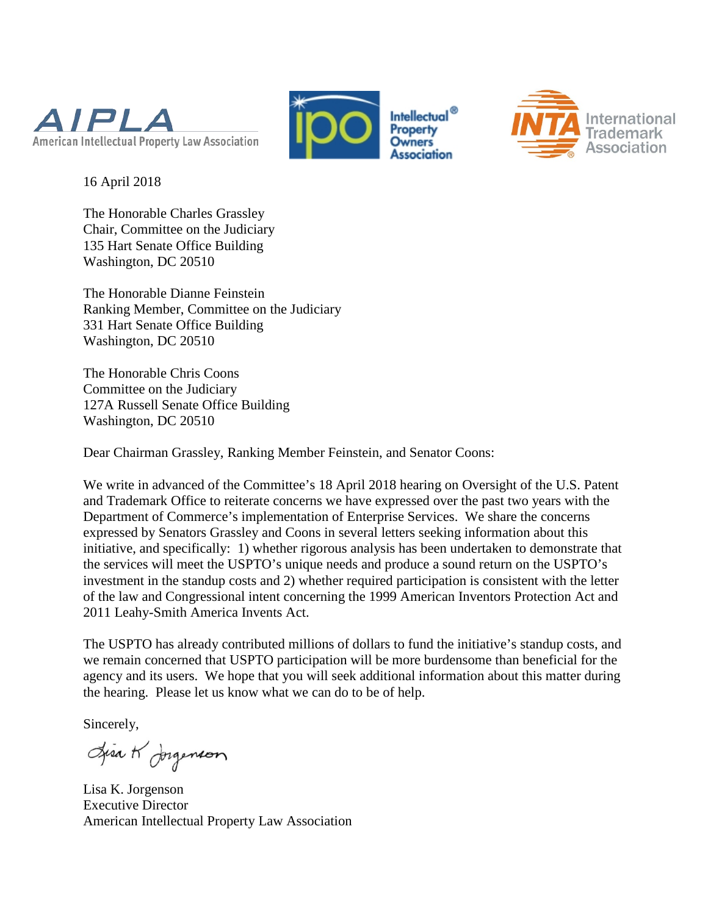





16 April 2018

The Honorable Charles Grassley Chair, Committee on the Judiciary 135 Hart Senate Office Building Washington, DC 20510

The Honorable Dianne Feinstein Ranking Member, Committee on the Judiciary 331 Hart Senate Office Building Washington, DC 20510

The Honorable Chris Coons Committee on the Judiciary 127A Russell Senate Office Building Washington, DC 20510

Dear Chairman Grassley, Ranking Member Feinstein, and Senator Coons:

We write in advanced of the Committee's 18 April 2018 hearing on Oversight of the U.S. Patent and Trademark Office to reiterate concerns we have expressed over the past two years with the Department of Commerce's implementation of Enterprise Services. We share the concerns expressed by Senators Grassley and Coons in several letters seeking information about this initiative, and specifically: 1) whether rigorous analysis has been undertaken to demonstrate that the services will meet the USPTO's unique needs and produce a sound return on the USPTO's investment in the standup costs and 2) whether required participation is consistent with the letter of the law and Congressional intent concerning the 1999 American Inventors Protection Act and 2011 Leahy-Smith America Invents Act.

The USPTO has already contributed millions of dollars to fund the initiative's standup costs, and we remain concerned that USPTO participation will be more burdensome than beneficial for the agency and its users. We hope that you will seek additional information about this matter during the hearing. Please let us know what we can do to be of help.

Sincerely,

Lisa K Jorgenson

Lisa K. Jorgenson Executive Director American Intellectual Property Law Association